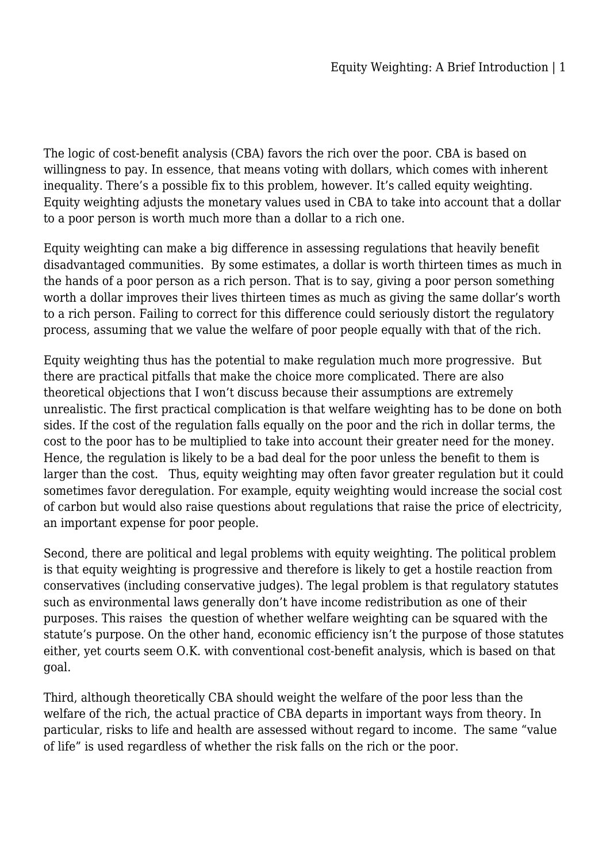The logic of cost-benefit analysis (CBA) favors the rich over the poor. CBA is based on willingness to pay. In essence, that means voting with dollars, which comes with inherent inequality. There's a possible fix to this problem, however. It's called equity weighting. Equity weighting adjusts the monetary values used in CBA to take into account that a dollar to a poor person is worth much more than a dollar to a rich one.

Equity weighting can make a big difference in assessing regulations that heavily benefit disadvantaged communities. By some estimates, a dollar is worth thirteen times as much in the hands of a poor person as a rich person. That is to say, giving a poor person something worth a dollar improves their lives thirteen times as much as giving the same dollar's worth to a rich person. Failing to correct for this difference could seriously distort the regulatory process, assuming that we value the welfare of poor people equally with that of the rich.

Equity weighting thus has the potential to make regulation much more progressive. But there are practical pitfalls that make the choice more complicated. There are also theoretical objections that I won't discuss because their assumptions are extremely unrealistic. The first practical complication is that welfare weighting has to be done on both sides. If the cost of the regulation falls equally on the poor and the rich in dollar terms, the cost to the poor has to be multiplied to take into account their greater need for the money. Hence, the regulation is likely to be a bad deal for the poor unless the benefit to them is larger than the cost. Thus, equity weighting may often favor greater regulation but it could sometimes favor deregulation. For example, equity weighting would increase the social cost of carbon but would also raise questions about regulations that raise the price of electricity, an important expense for poor people.

Second, there are political and legal problems with equity weighting. The political problem is that equity weighting is progressive and therefore is likely to get a hostile reaction from conservatives (including conservative judges). The legal problem is that regulatory statutes such as environmental laws generally don't have income redistribution as one of their purposes. This raises the question of whether welfare weighting can be squared with the statute's purpose. On the other hand, economic efficiency isn't the purpose of those statutes either, yet courts seem O.K. with conventional cost-benefit analysis, which is based on that goal.

Third, although theoretically CBA should weight the welfare of the poor less than the welfare of the rich, the actual practice of CBA departs in important ways from theory. In particular, risks to life and health are assessed without regard to income. The same "value of life" is used regardless of whether the risk falls on the rich or the poor.